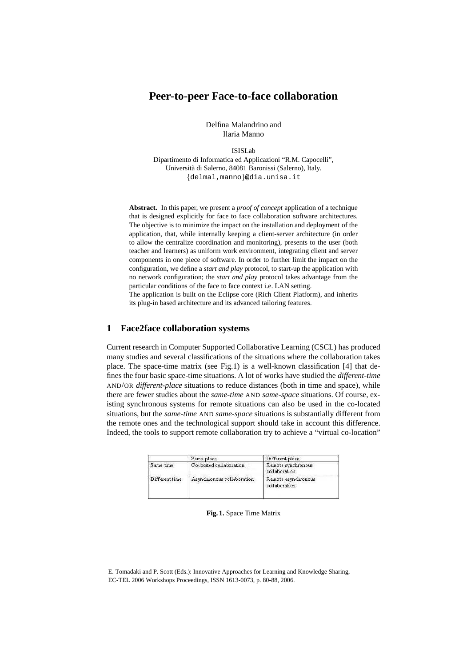# **Peer-to-peer Face-to-face collaboration**

Delfina Malandrino and Ilaria Manno

ISISLab Dipartimento di Informatica ed Applicazioni "R.M. Capocelli", Universita` di Salerno, 84081 Baronissi (Salerno), Italy. {delmal,manno}@dia.unisa.it

**Abstract.** In this paper, we present a *proof of concept* application of a technique that is designed explicitly for face to face collaboration software architectures. The objective is to minimize the impact on the installation and deployment of the application, that, while internally keeping a client-server architecture (in order to allow the centralize coordination and monitoring), presents to the user (both teacher and learners) as uniform work environment, integrating client and server components in one piece of software. In order to further limit the impact on the configuration, we define a *start and play* protocol, to start-up the application with no network configuration; the *start and play* protocol takes advantage from the particular conditions of the face to face context i.e. LAN setting.

The application is built on the Eclipse core (Rich Client Platform), and inherits its plug-in based architecture and its advanced tailoring features.

## **1 Face2face collaboration systems**

Current research in Computer Supported Collaborative Learning (CSCL) has produced many studies and several classifications of the situations where the collaboration takes place. The space-time matrix (see Fig.1) is a well-known classification [4] that defines the four basic space-time situations. A lot of works have studied the *different-time* AND/OR *different-place* situations to reduce distances (both in time and space), while there are fewer studies about the *same-time* AND *same-space* situations. Of course, existing synchronous systems for remote situations can also be used in the co-located situations, but the *same-time* AND *same-space* situations is substantially different from the remote ones and the technological support should take in account this difference. Indeed, the tools to support remote collaboration try to achieve a "virtual co-location"

|                | Same place                 | Different place                      |
|----------------|----------------------------|--------------------------------------|
| Same time      | Co-located collaboration   | Remote synchronous<br>collaboration  |
| Different time | Asynchronous collaboration | Remote asynchronous<br>collaboration |

### **Fig. 1.** Space Time Matrix

E. Tomadaki and P. Scott (Eds.): Innovative Approaches for Learning and Knowledge Sharing, EC-TEL 2006 Workshops Proceedings, ISSN 1613-0073, p. 80-88, 2006.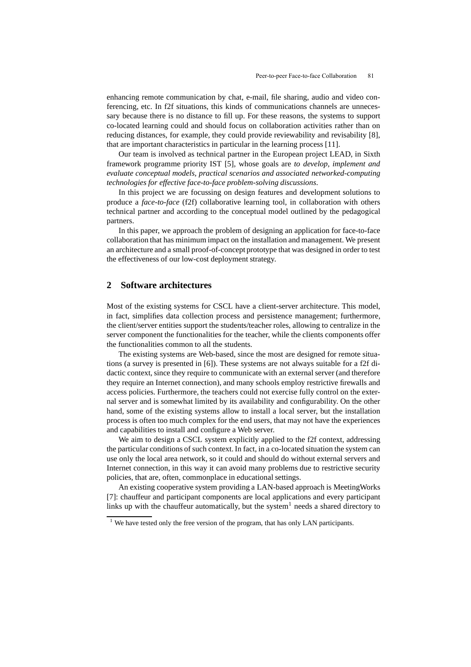enhancing remote communication by chat, e-mail, file sharing, audio and video conferencing, etc. In f2f situations, this kinds of communications channels are unnecessary because there is no distance to fill up. For these reasons, the systems to support co-located learning could and should focus on collaboration activities rather than on reducing distances, for example, they could provide reviewability and revisability [8], that are important characteristics in particular in the learning process [11].

Our team is involved as technical partner in the European project LEAD, in Sixth framework programme priority IST [5], whose goals are *to develop, implement and evaluate conceptual models, practical scenarios and associated networked-computing technologies for effective face-to-face problem-solving discussions*.

In this project we are focussing on design features and development solutions to produce a *face-to-face* (f2f) collaborative learning tool, in collaboration with others technical partner and according to the conceptual model outlined by the pedagogical partners.

In this paper, we approach the problem of designing an application for face-to-face collaboration that has minimum impact on the installation and management. We present an architecture and a small proof-of-concept prototype that was designed in order to test the effectiveness of our low-cost deployment strategy.

## **2 Software architectures**

Most of the existing systems for CSCL have a client-server architecture. This model, in fact, simplifies data collection process and persistence management; furthermore, the client/server entities support the students/teacher roles, allowing to centralize in the server component the functionalities for the teacher, while the clients components offer the functionalities common to all the students.

The existing systems are Web-based, since the most are designed for remote situations (a survey is presented in [6]). These systems are not always suitable for a f2f didactic context, since they require to communicate with an external server (and therefore they require an Internet connection), and many schools employ restrictive firewalls and access policies. Furthermore, the teachers could not exercise fully control on the external server and is somewhat limited by its availability and configurability. On the other hand, some of the existing systems allow to install a local server, but the installation process is often too much complex for the end users, that may not have the experiences and capabilities to install and configure a Web server.

We aim to design a CSCL system explicitly applied to the f2f context, addressing the particular conditions of such context. In fact, in a co-located situation the system can use only the local area network, so it could and should do without external servers and Internet connection, in this way it can avoid many problems due to restrictive security policies, that are, often, commonplace in educational settings.

An existing cooperative system providing a LAN-based approach is MeetingWorks [7]: chauffeur and participant components are local applications and every participant links up with the chauffeur automatically, but the system<sup>1</sup> needs a shared directory to

 $1$  We have tested only the free version of the program, that has only LAN participants.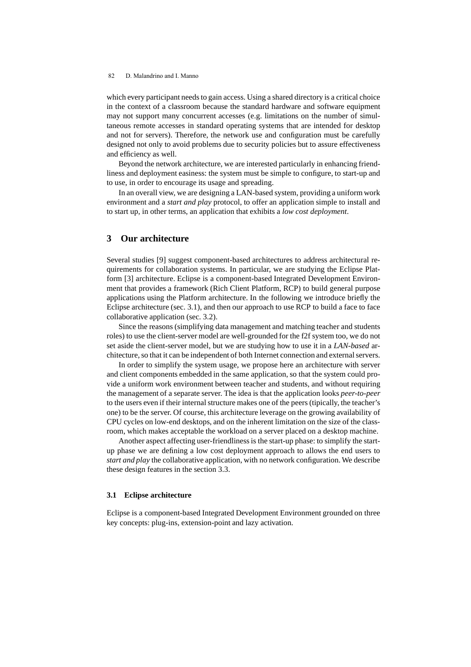which every participant needs to gain access. Using a shared directory is a critical choice in the context of a classroom because the standard hardware and software equipment may not support many concurrent accesses (e.g. limitations on the number of simultaneous remote accesses in standard operating systems that are intended for desktop and not for servers). Therefore, the network use and configuration must be carefully designed not only to avoid problems due to security policies but to assure effectiveness and efficiency as well.

Beyond the network architecture, we are interested particularly in enhancing friendliness and deployment easiness: the system must be simple to configure, to start-up and to use, in order to encourage its usage and spreading.

In an overall view, we are designing a LAN-based system, providing a uniform work environment and a *start and play* protocol, to offer an application simple to install and to start up, in other terms, an application that exhibits a *low cost deployment*.

## **3 Our architecture**

Several studies [9] suggest component-based architectures to address architectural requirements for collaboration systems. In particular, we are studying the Eclipse Platform [3] architecture. Eclipse is a component-based Integrated Development Environment that provides a framework (Rich Client Platform, RCP) to build general purpose applications using the Platform architecture. In the following we introduce briefly the Eclipse architecture (sec. 3.1), and then our approach to use RCP to build a face to face collaborative application (sec. 3.2).

Since the reasons (simplifying data management and matching teacher and students roles) to use the client-server model are well-grounded for the f2f system too, we do not set aside the client-server model, but we are studying how to use it in a *LAN-based* architecture, so that it can be independent of both Internet connection and external servers.

In order to simplify the system usage, we propose here an architecture with server and client components embedded in the same application, so that the system could provide a uniform work environment between teacher and students, and without requiring the management of a separate server. The idea is that the application looks *peer-to-peer* to the users even if their internal structure makes one of the peers (tipically, the teacher's one) to be the server. Of course, this architecture leverage on the growing availability of CPU cycles on low-end desktops, and on the inherent limitation on the size of the classroom, which makes acceptable the workload on a server placed on a desktop machine.

Another aspect affecting user-friendlinessis the start-up phase: to simplify the startup phase we are defining a low cost deployment approach to allows the end users to *start and play* the collaborative application, with no network configuration.We describe these design features in the section 3.3.

#### **3.1 Eclipse architecture**

Eclipse is a component-based Integrated Development Environment grounded on three key concepts: plug-ins, extension-point and lazy activation.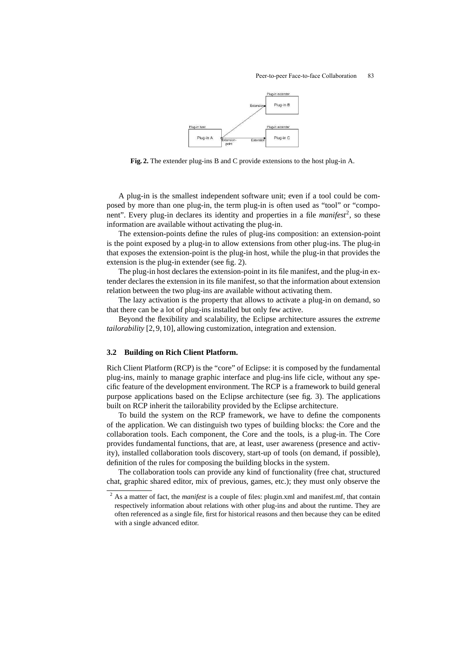

**Fig. 2.** The extender plug-ins B and C provide extensions to the host plug-in A.

A plug-in is the smallest independent software unit; even if a tool could be composed by more than one plug-in, the term plug-in is often used as "tool" or "component". Every plug-in declares its identity and properties in a file *manifest<sup>2</sup>*, so these information are available without activating the plug-in.

The extension-points define the rules of plug-ins composition: an extension-point is the point exposed by a plug-in to allow extensions from other plug-ins. The plug-in that exposes the extension-point is the plug-in host, while the plug-in that provides the extension is the plug-in extender (see fig. 2).

The plug-in host declares the extension-point in its file manifest, and the plug-in extender declares the extension in its file manifest, so that the information about extension relation between the two plug-ins are available without activating them.

The lazy activation is the property that allows to activate a plug-in on demand, so that there can be a lot of plug-ins installed but only few active.

Beyond the flexibility and scalability, the Eclipse architecture assures the *extreme tailorability* [2, 9, 10], allowing customization, integration and extension.

### **3.2 Building on Rich Client Platform.**

Rich Client Platform (RCP) is the "core" of Eclipse: it is composed by the fundamental plug-ins, mainly to manage graphic interface and plug-ins life cicle, without any specific feature of the development environment. The RCP is a framework to build general purpose applications based on the Eclipse architecture (see fig. 3). The applications built on RCP inherit the tailorability provided by the Eclipse architecture.

To build the system on the RCP framework, we have to define the components of the application. We can distinguish two types of building blocks: the Core and the collaboration tools. Each component, the Core and the tools, is a plug-in. The Core provides fundamental functions, that are, at least, user awareness (presence and activity), installed collaboration tools discovery, start-up of tools (on demand, if possible), definition of the rules for composing the building blocks in the system.

The collaboration tools can provide any kind of functionality (free chat, structured chat, graphic shared editor, mix of previous, games, etc.); they must only observe the

<sup>2</sup> As a matter of fact, the *manifest* is a couple of files: plugin.xml and manifest.mf, that contain respectively information about relations with other plug-ins and about the runtime. They are often referenced as a single file, first for historical reasons and then because they can be edited with a single advanced editor.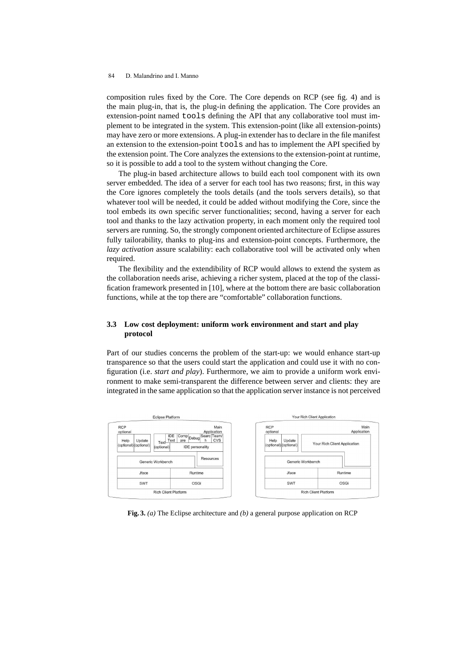composition rules fixed by the Core. The Core depends on RCP (see fig. 4) and is the main plug-in, that is, the plug-in defining the application. The Core provides an extension-point named tools defining the API that any collaborative tool must implement to be integrated in the system. This extension-point (like all extension-points) may have zero or more extensions. A plug-in extender has to declare in the file manifest an extension to the extension-point tools and has to implement the API specified by the extension point. The Core analyzes the extensions to the extension-point at runtime, so it is possible to add a tool to the system without changing the Core.

The plug-in based architecture allows to build each tool component with its own server embedded. The idea of a server for each tool has two reasons; first, in this way the Core ignores completely the tools details (and the tools servers details), so that whatever tool will be needed, it could be added without modifying the Core, since the tool embeds its own specific server functionalities; second, having a server for each tool and thanks to the lazy activation property, in each moment only the required tool servers are running. So, the strongly component oriented architecture of Eclipse assures fully tailorability, thanks to plug-ins and extension-point concepts. Furthermore, the *lazy activation* assure scalability: each collaborative tool will be activated only when required.

The flexibility and the extendibility of RCP would allows to extend the system as the collaboration needs arise, achieving a richer system, placed at the top of the classification framework presented in [10], where at the bottom there are basic collaboration functions, while at the top there are "comfortable" collaboration functions.

### **3.3 Low cost deployment: uniform work environment and start and play protocol**

Part of our studies concerns the problem of the start-up: we would enhance start-up transparence so that the users could start the application and could use it with no configuration (i.e. *start and play*). Furthermore, we aim to provide a uniform work environment to make semi-transparent the difference between server and clients: they are integrated in the same application so that the application server instance is not perceived



**Fig. 3.** *(a)* The Eclipse architecture and *(b)* a general purpose application on RCP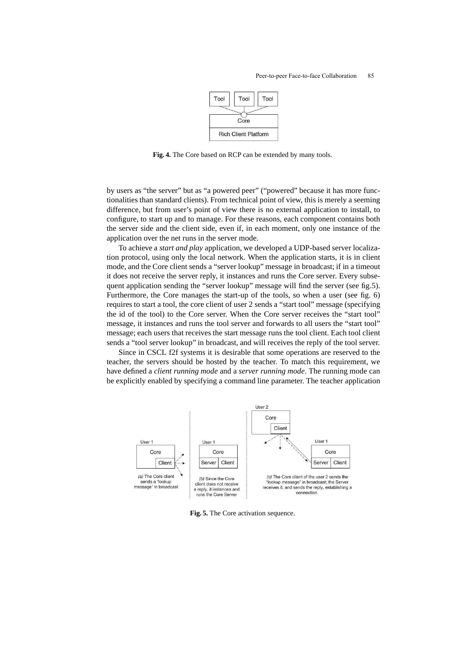

**Fig. 4.** The Core based on RCP can be extended by many tools.

by users as "the server" but as "a powered peer" ("powered" because it has more functionalities than standard clients). From technical point of view, this is merely a seeming difference, but from user's point of view there is no external application to install, to configure, to start up and to manage. For these reasons, each component contains both the server side and the client side, even if, in each moment, only one instance of the application over the net runs in the server mode.

To achieve a *start and play* application, we developed a UDP-based server localization protocol, using only the local network. When the application starts, it is in client mode, and the Core client sends a "server lookup" message in broadcast; if in a timeout it does not receive the server reply, it instances and runs the Core server. Every subsequent application sending the "server lookup" message will find the server (see fig.5). Furthermore, the Core manages the start-up of the tools, so when a user (see fig. 6) requires to start a tool, the core client of user 2 sends a "start tool" message (specifying the id of the tool) to the Core server. When the Core server receives the "start tool" message, it instances and runs the tool server and forwards to all users the "start tool" message; each users that receives the start message runs the tool client. Each tool client sends a "tool server lookup" in broadcast, and will receives the reply of the tool server.

Since in CSCL f2f systems it is desirable that some operations are reserved to the teacher, the servers should be hosted by the teacher. To match this requirement, we have defined a *client running mode* and a *server running mode*. The running mode can be explicitly enabled by specifying a command line parameter. The teacher application



**Fig. 5.** The Core activation sequence.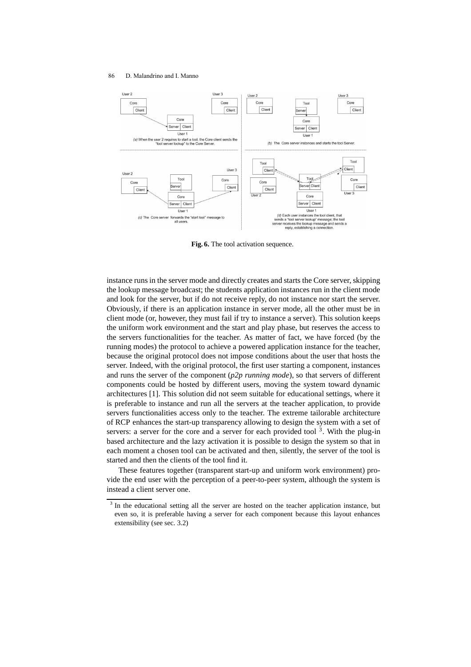

**Fig. 6.** The tool activation sequence.

instance runs in the server mode and directly creates and starts the Core server, skipping the lookup message broadcast; the students application instances run in the client mode and look for the server, but if do not receive reply, do not instance nor start the server. Obviously, if there is an application instance in server mode, all the other must be in client mode (or, however, they must fail if try to instance a server). This solution keeps the uniform work environment and the start and play phase, but reserves the access to the servers functionalities for the teacher. As matter of fact, we have forced (by the running modes) the protocol to achieve a powered application instance for the teacher, because the original protocol does not impose conditions about the user that hosts the server. Indeed, with the original protocol, the first user starting a component, instances and runs the server of the component (*p2p running mode*), so that servers of different components could be hosted by different users, moving the system toward dynamic architectures [1]. This solution did not seem suitable for educational settings, where it is preferable to instance and run all the servers at the teacher application, to provide servers functionalities access only to the teacher. The extreme tailorable architecture of RCP enhances the start-up transparency allowing to design the system with a set of servers: a server for the core and a server for each provided tool<sup>3</sup>. With the plug-in based architecture and the lazy activation it is possible to design the system so that in each moment a chosen tool can be activated and then, silently, the server of the tool is started and then the clients of the tool find it.

These features together (transparent start-up and uniform work environment) provide the end user with the perception of a peer-to-peer system, although the system is instead a client server one.

 $3$  In the educational setting all the server are hosted on the teacher application instance, but even so, it is preferable having a server for each component because this layout enhances extensibility (see sec. 3.2)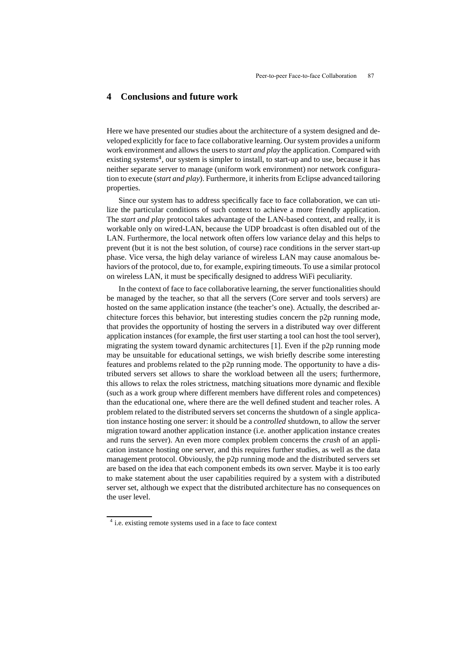## **4 Conclusions and future work**

Here we have presented our studies about the architecture of a system designed and developed explicitly for face to face collaborative learning. Our system provides a uniform work environment and allows the users to *start and play* the application. Compared with existing systems<sup>4</sup>, our system is simpler to install, to start-up and to use, because it has neither separate server to manage (uniform work environment) nor network configuration to execute (*start and play*). Furthermore, it inherits from Eclipse advanced tailoring properties.

Since our system has to address specifically face to face collaboration, we can utilize the particular conditions of such context to achieve a more friendly application. The *start and play* protocol takes advantage of the LAN-based context, and really, it is workable only on wired-LAN, because the UDP broadcast is often disabled out of the LAN. Furthermore, the local network often offers low variance delay and this helps to prevent (but it is not the best solution, of course) race conditions in the server start-up phase. Vice versa, the high delay variance of wireless LAN may cause anomalous behaviors of the protocol, due to, for example, expiring timeouts. To use a similar protocol on wireless LAN, it must be specifically designed to address WiFi peculiarity.

In the context of face to face collaborative learning, the server functionalities should be managed by the teacher, so that all the servers (Core server and tools servers) are hosted on the same application instance (the teacher's one). Actually, the described architecture forces this behavior, but interesting studies concern the p2p running mode, that provides the opportunity of hosting the servers in a distributed way over different application instances (for example, the first user starting a tool can host the tool server), migrating the system toward dynamic architectures [1]. Even if the p2p running mode may be unsuitable for educational settings, we wish briefly describe some interesting features and problems related to the p2p running mode. The opportunity to have a distributed servers set allows to share the workload between all the users; furthermore, this allows to relax the roles strictness, matching situations more dynamic and flexible (such as a work group where different members have different roles and competences) than the educational one, where there are the well defined student and teacher roles. A problem related to the distributed servers set concerns the shutdown of a single application instance hosting one server: it should be a *controlled* shutdown, to allow the server migration toward another application instance (i.e. another application instance creates and runs the server). An even more complex problem concerns the *crash* of an application instance hosting one server, and this requires further studies, as well as the data management protocol. Obviously, the p2p running mode and the distributed servers set are based on the idea that each component embeds its own server. Maybe it is too early to make statement about the user capabilities required by a system with a distributed server set, although we expect that the distributed architecture has no consequences on the user level.

<sup>&</sup>lt;sup>4</sup> i.e. existing remote systems used in a face to face context